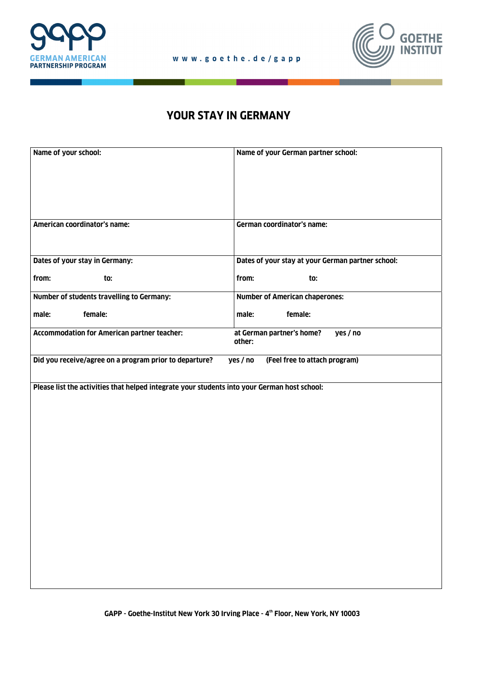

٠



## **YOUR STAY IN GERMANY**

| Name of your school:                                                                                  | Name of your German partner school:               |
|-------------------------------------------------------------------------------------------------------|---------------------------------------------------|
| American coordinator's name:                                                                          | <b>German coordinator's name:</b>                 |
| Dates of your stay in Germany:                                                                        | Dates of your stay at your German partner school: |
| from:<br>to:                                                                                          | from:<br>to:                                      |
| Number of students travelling to Germany:                                                             | <b>Number of American chaperones:</b>             |
| female:<br>male:                                                                                      | female:<br>male:                                  |
| <b>Accommodation for American partner teacher:</b><br>at German partner's home?<br>yes / no<br>other: |                                                   |
| Did you receive/agree on a program prior to departure?<br>(Feel free to attach program)<br>yes / no   |                                                   |
| Please list the activities that helped integrate your students into your German host school:          |                                                   |

**GAPP - Goethe-Institut New York 30 Irving Place - 4th Floor, New York, NY 10003**